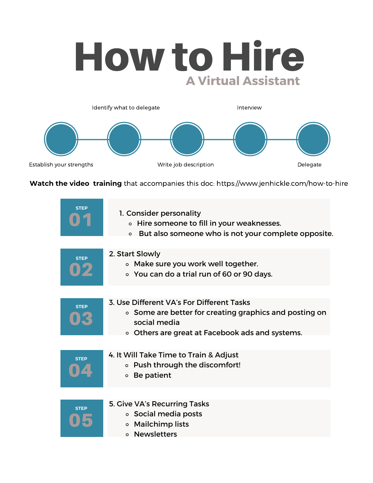## How to Hire **A Virtual Assistant**



**Watch the video training** that accompanies this doc: https://www.jenhickle.com/how-to-hire

| <b>STEP</b> | 1. Consider personality<br>○ Hire someone to fill in your weaknesses.<br>• But also someone who is not your complete opposite.                                         |
|-------------|------------------------------------------------------------------------------------------------------------------------------------------------------------------------|
| <b>STEP</b> | 2. Start Slowly<br>o Make sure you work well together.<br>○ You can do a trial run of 60 or 90 days.                                                                   |
| <b>STEP</b> | 3. Use Different VA's For Different Tasks<br>• Some are better for creating graphics and posting on<br>social media<br>• Others are great at Facebook ads and systems. |
| <b>STEP</b> | 4. It Will Take Time to Train & Adjust<br>• Push through the discomfort!<br>Be patient<br>$\circ$                                                                      |
| <b>STEP</b> | 5. Give VA's Recurring Tasks<br>• Social media posts<br><b>Mailchimp lists</b><br>$\circ$<br>o Newsletters                                                             |